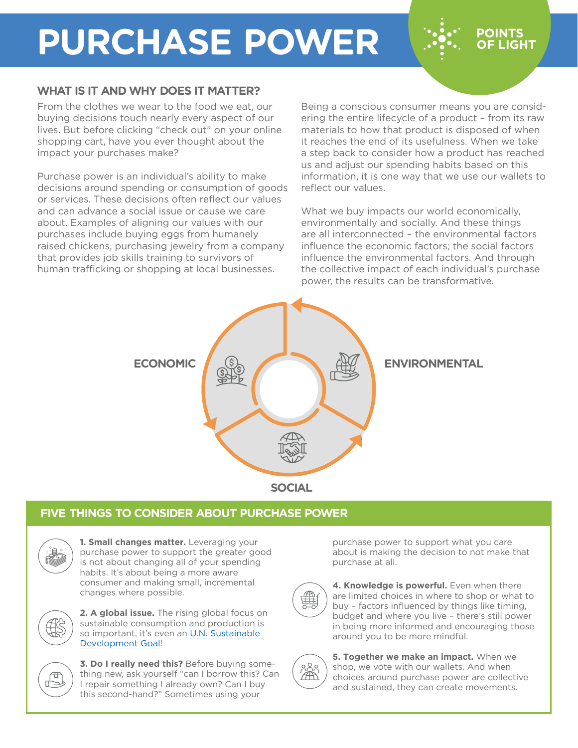# **PURCHASE POWER**

### **WHAT IS IT AND WHY DOES IT MATTER?**

From the clothes we wear to the food we eat, our buying decisions touch nearly every aspect of our lives. But before clicking "check out" on your online shopping cart, have you ever thought about the impact your purchases make?

Purchase power is an individual's ability to make decisions around spending or consumption of goods or services. These decisions often reflect our values and can advance a social issue or cause we care about. Examples of aligning our values with our purchases include buying eggs from humanely raised chickens, purchasing jewelry from a company that provides job skills training to survivors of human trafficking or shopping at local businesses.

Being a conscious consumer means you are considering the entire lifecycle of a product – from its raw materials to how that product is disposed of when it reaches the end of its usefulness. When we take a step back to consider how a product has reached us and adjust our spending habits based on this information, it is one way that we use our wallets to reflect our values.

**POINTS OF LIGHT** 

What we buy impacts our world economically, environmentally and socially. And these things are all interconnected – the environmental factors influence the economic factors; the social factors influence the environmental factors. And through the collective impact of each individual's purchase power, the results can be transformative.



### **FIVE THINGS TO CONSIDER ABOUT PURCHASE POWER**



**1. Small changes matter.** Leveraging your purchase power to support the greater good is not about changing all of your spending habits. It's about being a more aware consumer and making small, incremental changes where possible.



**2. A global issue.** The rising global focus on sustainable consumption and production is so important, it's even an [U.N. Sustainable](https://www.un.org/sustainabledevelopment/sustainable-consumption-production/)  [Development Goal!](https://www.un.org/sustainabledevelopment/sustainable-consumption-production/)



**3. Do I really need this?** Before buying something new, ask yourself "can I borrow this? Can I repair something I already own? Can I buy this second-hand?" Sometimes using your

purchase power to support what you care about is making the decision to not make that purchase at all.



4. Knowledge is powerful. Even when there are limited choices in where to shop or what to buy – factors influenced by things like timing, budget and where you live – there's still power in being more informed and encouraging those around you to be more mindful.



**5. Together we make an impact.** When we shop, we vote with our wallets. And when choices around purchase power are collective and sustained, they can create movements.